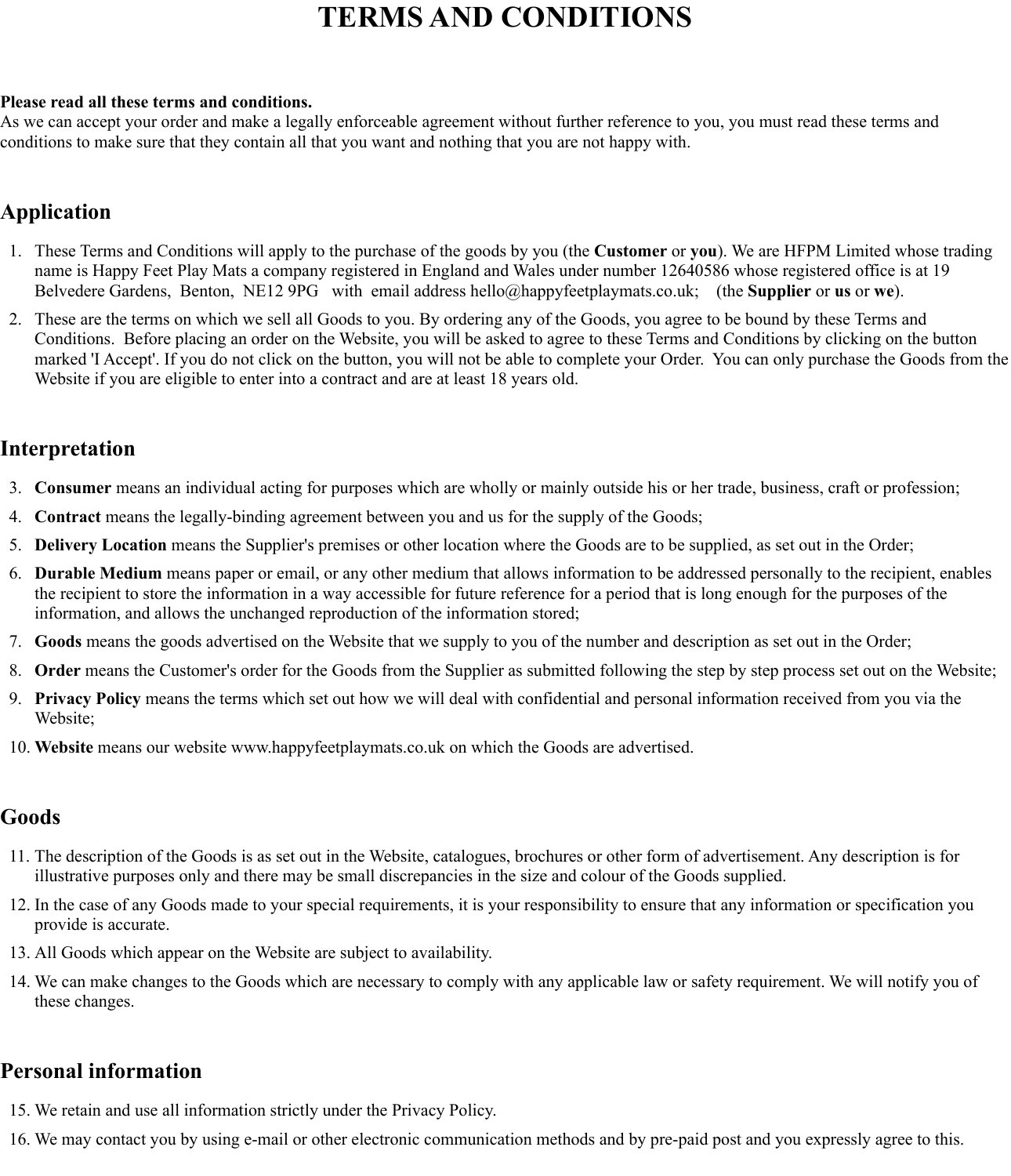# **TERMS AND CONDITIONS**

#### **Please read all these terms and conditions.**

As we can accept your order and make a legally enforceable agreement without further reference to you, you must read these terms and conditions to make sure that they contain all that you want and nothing that you are not happy with.

### **Application**

- 1. These Terms and Conditions will apply to the purchase of the goods by you (the **Customer** or **you**). We are HFPM Limited whose trading name is Happy Feet Play Mats a company registered in England and Wales under number 12640586 whose registered office is at 19 Belvedere Gardens, Benton, NE12 9PG with email address hello@happyfeetplaymats.co.uk; (the **Supplier** or **us** or **we**).
- 2. These are the terms on which we sell all Goods to you. By ordering any of the Goods, you agree to be bound by these Terms and Conditions. Before placing an order on the Website, you will be asked to agree to these Terms and Conditions by clicking on the button marked 'I Accept'. If you do not click on the button, you will not be able to complete your Order. You can only purchase the Goods from the Website if you are eligible to enter into a contract and are at least 18 years old.

### **Interpretation**

- 3. **Consumer** means an individual acting for purposes which are wholly or mainly outside his or her trade, business, craft or profession;
- 4. **Contract** means the legally-binding agreement between you and us for the supply of the Goods;
- 5. **Delivery Location** means the Supplier's premises or other location where the Goods are to be supplied, as set out in the Order;
- 6. **Durable Medium** means paper or email, or any other medium that allows information to be addressed personally to the recipient, enables the recipient to store the information in a way accessible for future reference for a period that is long enough for the purposes of the information, and allows the unchanged reproduction of the information stored;
- 7. **Goods** means the goods advertised on the Website that we supply to you of the number and description as set out in the Order;
- 8. **Order** means the Customer's order for the Goods from the Supplier as submitted following the step by step process set out on the Website;
- 9. **Privacy Policy** means the terms which set out how we will deal with confidential and personal information received from you via the Website;
- 10. **Website** means our website www.happyfeetplaymats.co.uk on which the Goods are advertised.

### **Goods**

- 11. The description of the Goods is as set out in the Website, catalogues, brochures or other form of advertisement. Any description is for illustrative purposes only and there may be small discrepancies in the size and colour of the Goods supplied.
- 12. In the case of any Goods made to your special requirements, it is your responsibility to ensure that any information or specification you provide is accurate.
- 13. All Goods which appear on the Website are subject to availability.
- 14. We can make changes to the Goods which are necessary to comply with any applicable law or safety requirement. We will notify you of these changes.

### **Personal information**

- 15. We retain and use all information strictly under the Privacy Policy.
- 16. We may contact you by using e-mail or other electronic communication methods and by pre-paid post and you expressly agree to this.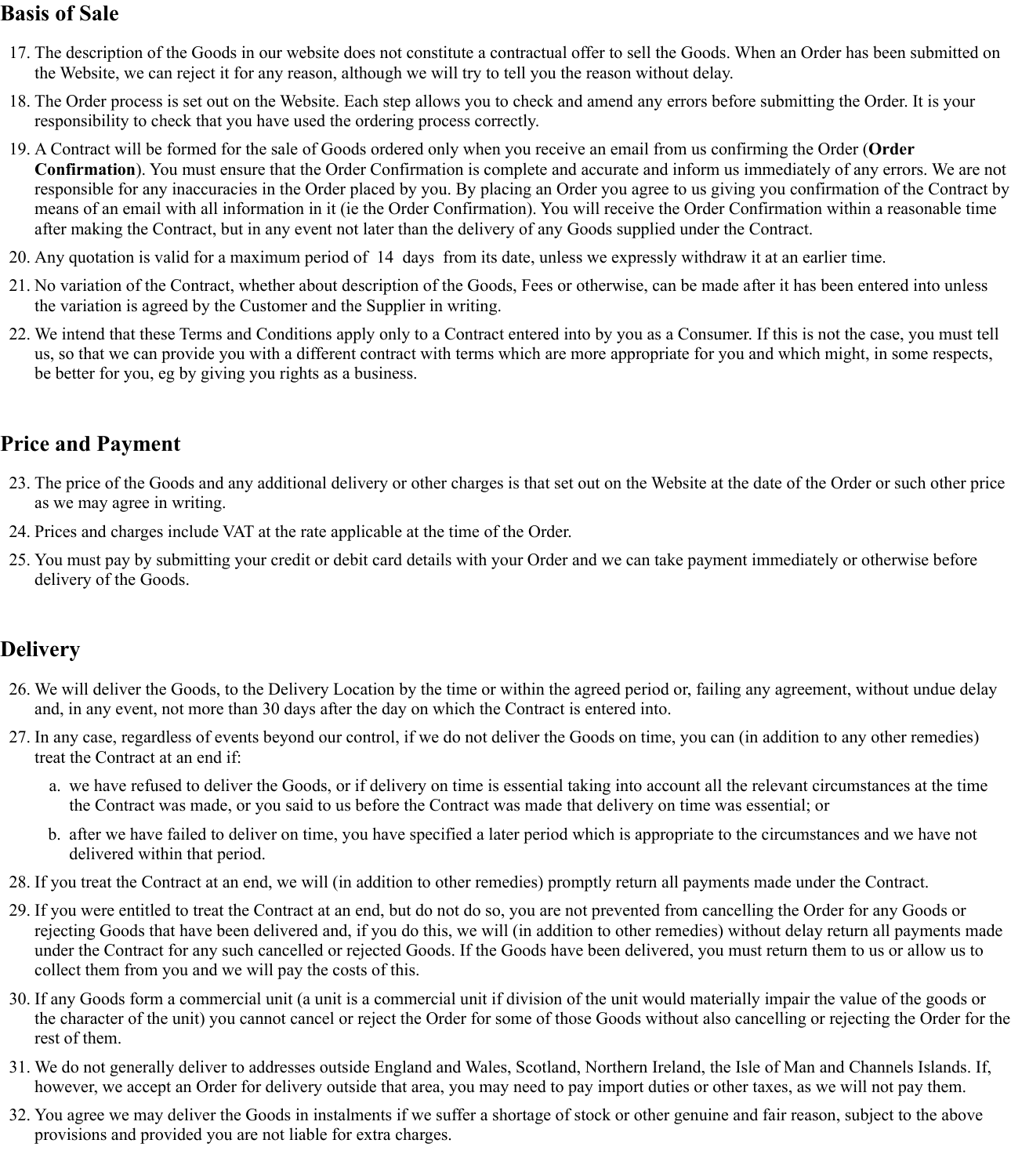### **Basis of Sale**

- 17. The description of the Goods in our website does not constitute a contractual offer to sell the Goods. When an Order has been submitted on the Website, we can reject it for any reason, although we will try to tell you the reason without delay.
- 18. The Order process is set out on the Website. Each step allows you to check and amend any errors before submitting the Order. It is your responsibility to check that you have used the ordering process correctly.
- 19. A Contract will be formed for the sale of Goods ordered only when you receive an email from us confirming the Order (**Order Confirmation**). You must ensure that the Order Confirmation is complete and accurate and inform us immediately of any errors. We are not responsible for any inaccuracies in the Order placed by you. By placing an Order you agree to us giving you confirmation of the Contract by means of an email with all information in it (ie the Order Confirmation). You will receive the Order Confirmation within a reasonable time after making the Contract, but in any event not later than the delivery of any Goods supplied under the Contract.
- 20. Any quotation is valid for a maximum period of 14 days from its date, unless we expressly withdraw it at an earlier time.
- 21. No variation of the Contract, whether about description of the Goods, Fees or otherwise, can be made after it has been entered into unless the variation is agreed by the Customer and the Supplier in writing.
- 22. We intend that these Terms and Conditions apply only to a Contract entered into by you as a Consumer. If this is not the case, you must tell us, so that we can provide you with a different contract with terms which are more appropriate for you and which might, in some respects, be better for you, eg by giving you rights as a business.

### **Price and Payment**

- 23. The price of the Goods and any additional delivery or other charges is that set out on the Website at the date of the Order or such other price as we may agree in writing.
- 24. Prices and charges include VAT at the rate applicable at the time of the Order.
- 25. You must pay by submitting your credit or debit card details with your Order and we can take payment immediately or otherwise before delivery of the Goods.

### **Delivery**

- 26. We will deliver the Goods, to the Delivery Location by the time or within the agreed period or, failing any agreement, without undue delay and, in any event, not more than 30 days after the day on which the Contract is entered into.
- 27. In any case, regardless of events beyond our control, if we do not deliver the Goods on time, you can (in addition to any other remedies) treat the Contract at an end if:
	- a. we have refused to deliver the Goods, or if delivery on time is essential taking into account all the relevant circumstances at the time the Contract was made, or you said to us before the Contract was made that delivery on time was essential; or
	- b. after we have failed to deliver on time, you have specified a later period which is appropriate to the circumstances and we have not delivered within that period.
- 28. If you treat the Contract at an end, we will (in addition to other remedies) promptly return all payments made under the Contract.
- 29. If you were entitled to treat the Contract at an end, but do not do so, you are not prevented from cancelling the Order for any Goods or rejecting Goods that have been delivered and, if you do this, we will (in addition to other remedies) without delay return all payments made under the Contract for any such cancelled or rejected Goods. If the Goods have been delivered, you must return them to us or allow us to collect them from you and we will pay the costs of this.
- 30. If any Goods form a commercial unit (a unit is a commercial unit if division of the unit would materially impair the value of the goods or the character of the unit) you cannot cancel or reject the Order for some of those Goods without also cancelling or rejecting the Order for the rest of them.
- 31. We do not generally deliver to addresses outside England and Wales, Scotland, Northern Ireland, the Isle of Man and Channels Islands. If, however, we accept an Order for delivery outside that area, you may need to pay import duties or other taxes, as we will not pay them.
- 32. You agree we may deliver the Goods in instalments if we suffer a shortage of stock or other genuine and fair reason, subject to the above provisions and provided you are not liable for extra charges.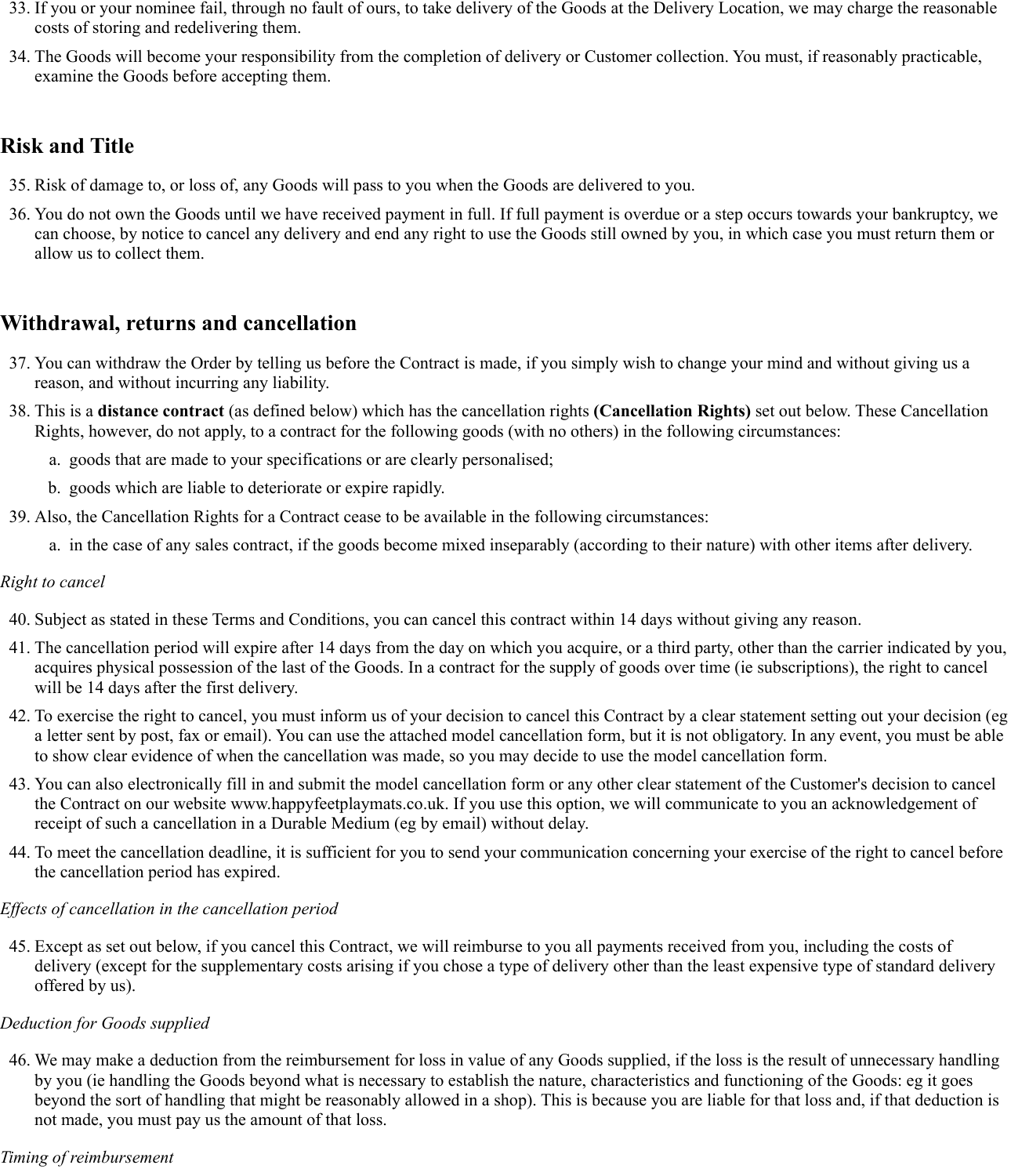- 33. If you or your nominee fail, through no fault of ours, to take delivery of the Goods at the Delivery Location, we may charge the reasonable costs of storing and redelivering them.
- 34. The Goods will become your responsibility from the completion of delivery or Customer collection. You must, if reasonably practicable, examine the Goods before accepting them.

### **Risk and Title**

- 35. Risk of damage to, or loss of, any Goods will pass to you when the Goods are delivered to you.
- 36. You do not own the Goods until we have received payment in full. If full payment is overdue or a step occurs towards your bankruptcy, we can choose, by notice to cancel any delivery and end any right to use the Goods still owned by you, in which case you must return them or allow us to collect them.

### **Withdrawal, returns and cancellation**

- 37. You can withdraw the Order by telling us before the Contract is made, if you simply wish to change your mind and without giving us a reason, and without incurring any liability.
- 38. This is a **distance contract** (as defined below) which has the cancellation rights **(Cancellation Rights)** set out below. These Cancellation Rights, however, do not apply, to a contract for the following goods (with no others) in the following circumstances:
	- a. goods that are made to your specifications or are clearly personalised;
	- b. goods which are liable to deteriorate or expire rapidly.
- 39. Also, the Cancellation Rights for a Contract cease to be available in the following circumstances:
	- a. in the case of any sales contract, if the goods become mixed inseparably (according to their nature) with other items after delivery.

#### *Right to cancel*

- 40. Subject as stated in these Terms and Conditions, you can cancel this contract within 14 days without giving any reason.
- 41. The cancellation period will expire after 14 days from the day on which you acquire, or a third party, other than the carrier indicated by you, acquires physical possession of the last of the Goods. In a contract for the supply of goods over time (ie subscriptions), the right to cancel will be 14 days after the first delivery.
- 42. To exercise the right to cancel, you must inform us of your decision to cancel this Contract by a clear statement setting out your decision (eg a letter sent by post, fax or email). You can use the attached model cancellation form, but it is not obligatory. In any event, you must be able to show clear evidence of when the cancellation was made, so you may decide to use the model cancellation form.
- 43. You can also electronically fill in and submit the model cancellation form or any other clear statement of the Customer's decision to cancel the Contract on our website www.happyfeetplaymats.co.uk. If you use this option, we will communicate to you an acknowledgement of receipt of such a cancellation in a Durable Medium (eg by email) without delay.
- 44. To meet the cancellation deadline, it is sufficient for you to send your communication concerning your exercise of the right to cancel before the cancellation period has expired.

#### *Effects of cancellation in the cancellation period*

45. Except as set out below, if you cancel this Contract, we will reimburse to you all payments received from you, including the costs of delivery (except for the supplementary costs arising if you chose a type of delivery other than the least expensive type of standard delivery offered by us).

#### *Deduction for Goods supplied*

46. We may make a deduction from the reimbursement for loss in value of any Goods supplied, if the loss is the result of unnecessary handling by you (ie handling the Goods beyond what is necessary to establish the nature, characteristics and functioning of the Goods: eg it goes beyond the sort of handling that might be reasonably allowed in a shop). This is because you are liable for that loss and, if that deduction is not made, you must pay us the amount of that loss.

#### *Timing of reimbursement*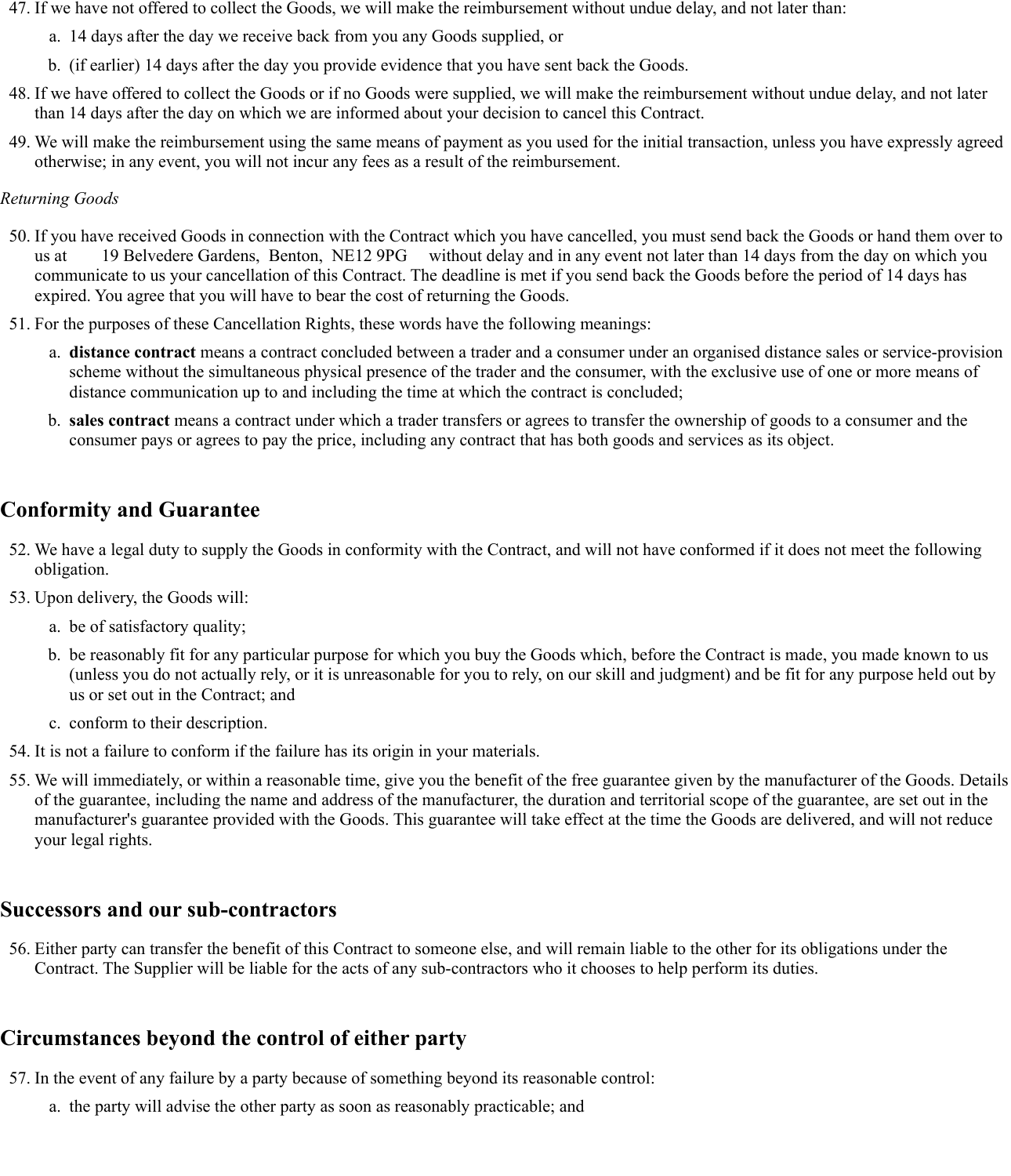- 47. If we have not offered to collect the Goods, we will make the reimbursement without undue delay, and not later than:
	- a. 14 days after the day we receive back from you any Goods supplied, or
	- b. (if earlier) 14 days after the day you provide evidence that you have sent back the Goods.
- 48. If we have offered to collect the Goods or if no Goods were supplied, we will make the reimbursement without undue delay, and not later than 14 days after the day on which we are informed about your decision to cancel this Contract.
- 49. We will make the reimbursement using the same means of payment as you used for the initial transaction, unless you have expressly agreed otherwise; in any event, you will not incur any fees as a result of the reimbursement.

#### *Returning Goods*

- 50. If you have received Goods in connection with the Contract which you have cancelled, you must send back the Goods or hand them over to us at 19 Belvedere Gardens, Benton, NE12 9PG without delay and in any event not later than 14 days from the day on which you communicate to us your cancellation of this Contract. The deadline is met if you send back the Goods before the period of 14 days has expired. You agree that you will have to bear the cost of returning the Goods.
- 51. For the purposes of these Cancellation Rights, these words have the following meanings:
	- a. **distance contract** means a contract concluded between a trader and a consumer under an organised distance sales or service-provision scheme without the simultaneous physical presence of the trader and the consumer, with the exclusive use of one or more means of distance communication up to and including the time at which the contract is concluded;
	- b. **sales contract** means a contract under which a trader transfers or agrees to transfer the ownership of goods to a consumer and the consumer pays or agrees to pay the price, including any contract that has both goods and services as its object.

### **Conformity and Guarantee**

- 52. We have a legal duty to supply the Goods in conformity with the Contract, and will not have conformed if it does not meet the following obligation.
- 53. Upon delivery, the Goods will:
	- a. be of satisfactory quality;
	- b. be reasonably fit for any particular purpose for which you buy the Goods which, before the Contract is made, you made known to us (unless you do not actually rely, or it is unreasonable for you to rely, on our skill and judgment) and be fit for any purpose held out by us or set out in the Contract; and
	- c. conform to their description.
- 54. It is not a failure to conform if the failure has its origin in your materials.
- 55. We will immediately, or within a reasonable time, give you the benefit of the free guarantee given by the manufacturer of the Goods. Details of the guarantee, including the name and address of the manufacturer, the duration and territorial scope of the guarantee, are set out in the manufacturer's guarantee provided with the Goods. This guarantee will take effect at the time the Goods are delivered, and will not reduce your legal rights.

#### **Successors and our sub-contractors**

56. Either party can transfer the benefit of this Contract to someone else, and will remain liable to the other for its obligations under the Contract. The Supplier will be liable for the acts of any sub-contractors who it chooses to help perform its duties.

### **Circumstances beyond the control of either party**

- 57. In the event of any failure by a party because of something beyond its reasonable control:
	- a. the party will advise the other party as soon as reasonably practicable; and